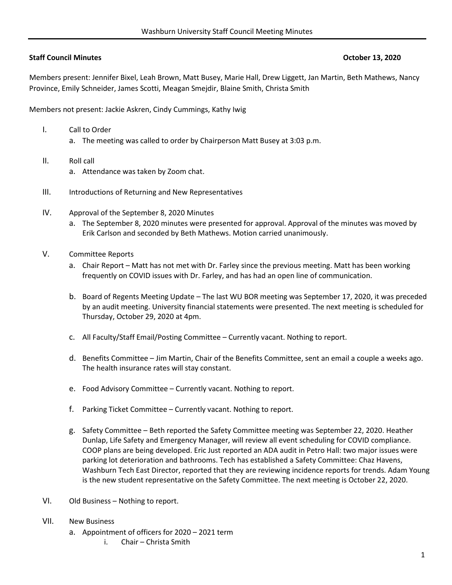## **Staff Council Minutes October 13, 2020**

Members present: Jennifer Bixel, Leah Brown, Matt Busey, Marie Hall, Drew Liggett, Jan Martin, Beth Mathews, Nancy Province, Emily Schneider, James Scotti, Meagan Smejdir, Blaine Smith, Christa Smith

Members not present: Jackie Askren, Cindy Cummings, Kathy Iwig

- I. Call to Order
	- a. The meeting was called to order by Chairperson Matt Busey at 3:03 p.m.
- II. Roll call
	- a. Attendance was taken by Zoom chat.
- III. Introductions of Returning and New Representatives
- IV. Approval of the September 8, 2020 Minutes
	- a. The September 8, 2020 minutes were presented for approval. Approval of the minutes was moved by Erik Carlson and seconded by Beth Mathews. Motion carried unanimously.
- V. Committee Reports
	- a. Chair Report Matt has not met with Dr. Farley since the previous meeting. Matt has been working frequently on COVID issues with Dr. Farley, and has had an open line of communication.
	- b. Board of Regents Meeting Update The last WU BOR meeting was September 17, 2020, it was preceded by an audit meeting. University financial statements were presented. The next meeting is scheduled for Thursday, October 29, 2020 at 4pm.
	- c. All Faculty/Staff Email/Posting Committee Currently vacant. Nothing to report.
	- d. Benefits Committee Jim Martin, Chair of the Benefits Committee, sent an email a couple a weeks ago. The health insurance rates will stay constant.
	- e. Food Advisory Committee Currently vacant. Nothing to report.
	- f. Parking Ticket Committee Currently vacant. Nothing to report.
	- g. Safety Committee Beth reported the Safety Committee meeting was September 22, 2020. Heather Dunlap, Life Safety and Emergency Manager, will review all event scheduling for COVID compliance. COOP plans are being developed. Eric Just reported an ADA audit in Petro Hall: two major issues were parking lot deterioration and bathrooms. Tech has established a Safety Committee: Chaz Havens, Washburn Tech East Director, reported that they are reviewing incidence reports for trends. Adam Young is the new student representative on the Safety Committee. The next meeting is October 22, 2020.
- VI. Old Business Nothing to report.
- VII. New Business
	- a. Appointment of officers for 2020 2021 term
		- i. Chair Christa Smith